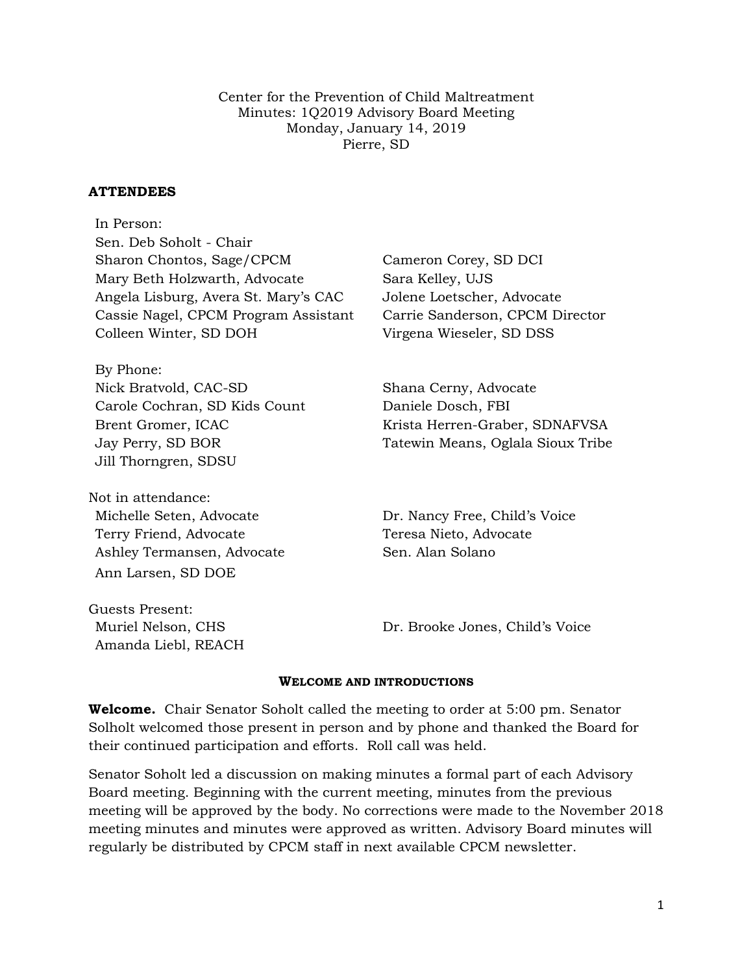Center for the Prevention of Child Maltreatment Minutes: 1Q2019 Advisory Board Meeting Monday, January 14, 2019 Pierre, SD

#### **ATTENDEES**

In Person: Sen. Deb Soholt - Chair Sharon Chontos, Sage/CPCM Cameron Corey, SD DCI Mary Beth Holzwarth, Advocate Sara Kelley, UJS Angela Lisburg, Avera St. Mary's CAC Jolene Loetscher, Advocate Cassie Nagel, CPCM Program Assistant Carrie Sanderson, CPCM Director Colleen Winter, SD DOH Virgena Wieseler, SD DSS

By Phone: Nick Bratvold, CAC-SD Shana Cerny, Advocate Carole Cochran, SD Kids Count Daniele Dosch, FBI Jill Thorngren, SDSU

Not in attendance: Michelle Seten, Advocate Dr. Nancy Free, Child's Voice Terry Friend, Advocate Teresa Nieto, Advocate Ashley Termansen, Advocate Sen. Alan Solano Ann Larsen, SD DOE

Guests Present: Amanda Liebl, REACH

Brent Gromer, ICAC Krista Herren-Graber, SDNAFVSA Jay Perry, SD BOR Tatewin Means, Oglala Sioux Tribe

Muriel Nelson, CHS The Child's Voice Dr. Brooke Jones, Child's Voice

#### **WELCOME AND INTRODUCTIONS**

**Welcome.** Chair Senator Soholt called the meeting to order at 5:00 pm. Senator Solholt welcomed those present in person and by phone and thanked the Board for their continued participation and efforts. Roll call was held.

Senator Soholt led a discussion on making minutes a formal part of each Advisory Board meeting. Beginning with the current meeting, minutes from the previous meeting will be approved by the body. No corrections were made to the November 2018 meeting minutes and minutes were approved as written. Advisory Board minutes will regularly be distributed by CPCM staff in next available CPCM newsletter.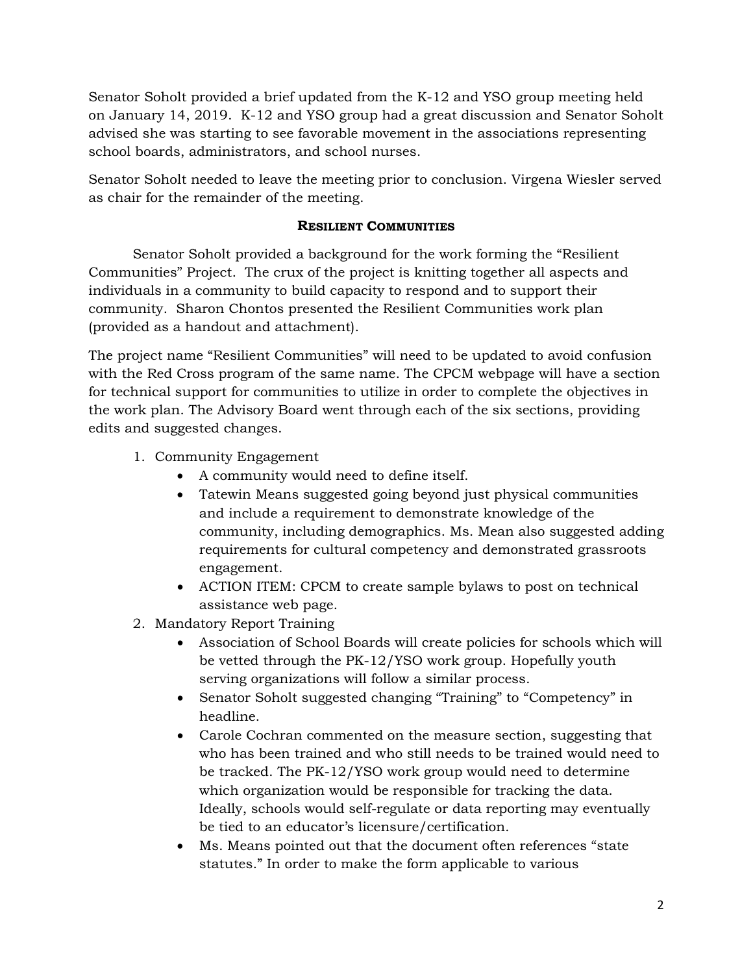Senator Soholt provided a brief updated from the K-12 and YSO group meeting held on January 14, 2019. K-12 and YSO group had a great discussion and Senator Soholt advised she was starting to see favorable movement in the associations representing school boards, administrators, and school nurses.

Senator Soholt needed to leave the meeting prior to conclusion. Virgena Wiesler served as chair for the remainder of the meeting.

### **RESILIENT COMMUNITIES**

Senator Soholt provided a background for the work forming the "Resilient Communities" Project. The crux of the project is knitting together all aspects and individuals in a community to build capacity to respond and to support their community. Sharon Chontos presented the Resilient Communities work plan (provided as a handout and attachment).

The project name "Resilient Communities" will need to be updated to avoid confusion with the Red Cross program of the same name. The CPCM webpage will have a section for technical support for communities to utilize in order to complete the objectives in the work plan. The Advisory Board went through each of the six sections, providing edits and suggested changes.

- 1. Community Engagement
	- A community would need to define itself.
	- Tatewin Means suggested going beyond just physical communities and include a requirement to demonstrate knowledge of the community, including demographics. Ms. Mean also suggested adding requirements for cultural competency and demonstrated grassroots engagement.
	- ACTION ITEM: CPCM to create sample bylaws to post on technical assistance web page.
- 2. Mandatory Report Training
	- Association of School Boards will create policies for schools which will be vetted through the PK-12/YSO work group. Hopefully youth serving organizations will follow a similar process.
	- Senator Soholt suggested changing "Training" to "Competency" in headline.
	- Carole Cochran commented on the measure section, suggesting that who has been trained and who still needs to be trained would need to be tracked. The PK-12/YSO work group would need to determine which organization would be responsible for tracking the data. Ideally, schools would self-regulate or data reporting may eventually be tied to an educator's licensure/certification.
	- Ms. Means pointed out that the document often references "state statutes." In order to make the form applicable to various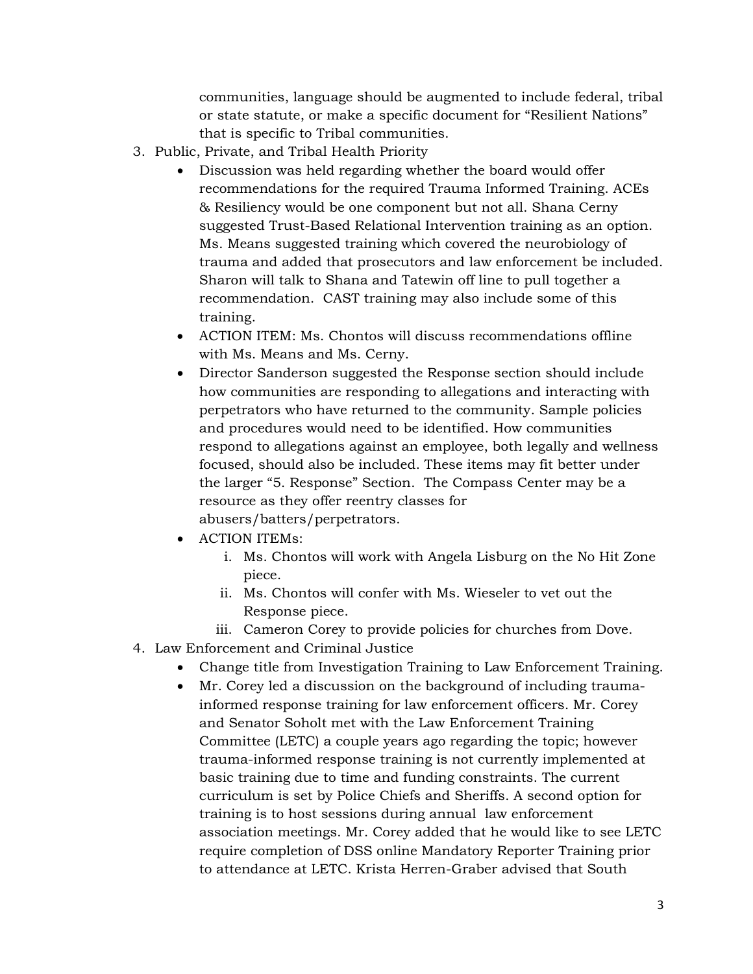communities, language should be augmented to include federal, tribal or state statute, or make a specific document for "Resilient Nations" that is specific to Tribal communities.

- 3. Public, Private, and Tribal Health Priority
	- Discussion was held regarding whether the board would offer recommendations for the required Trauma Informed Training. ACEs & Resiliency would be one component but not all. Shana Cerny suggested Trust-Based Relational Intervention training as an option. Ms. Means suggested training which covered the neurobiology of trauma and added that prosecutors and law enforcement be included. Sharon will talk to Shana and Tatewin off line to pull together a recommendation. CAST training may also include some of this training.
	- ACTION ITEM: Ms. Chontos will discuss recommendations offline with Ms. Means and Ms. Cerny.
	- Director Sanderson suggested the Response section should include how communities are responding to allegations and interacting with perpetrators who have returned to the community. Sample policies and procedures would need to be identified. How communities respond to allegations against an employee, both legally and wellness focused, should also be included. These items may fit better under the larger "5. Response" Section. The Compass Center may be a resource as they offer reentry classes for abusers/batters/perpetrators.
	- ACTION ITEMs:
		- i. Ms. Chontos will work with Angela Lisburg on the No Hit Zone piece.
		- ii. Ms. Chontos will confer with Ms. Wieseler to vet out the Response piece.
		- iii. Cameron Corey to provide policies for churches from Dove.
- 4. Law Enforcement and Criminal Justice
	- Change title from Investigation Training to Law Enforcement Training.
	- Mr. Corey led a discussion on the background of including traumainformed response training for law enforcement officers. Mr. Corey and Senator Soholt met with the Law Enforcement Training Committee (LETC) a couple years ago regarding the topic; however trauma-informed response training is not currently implemented at basic training due to time and funding constraints. The current curriculum is set by Police Chiefs and Sheriffs. A second option for training is to host sessions during annual law enforcement association meetings. Mr. Corey added that he would like to see LETC require completion of DSS online Mandatory Reporter Training prior to attendance at LETC. Krista Herren-Graber advised that South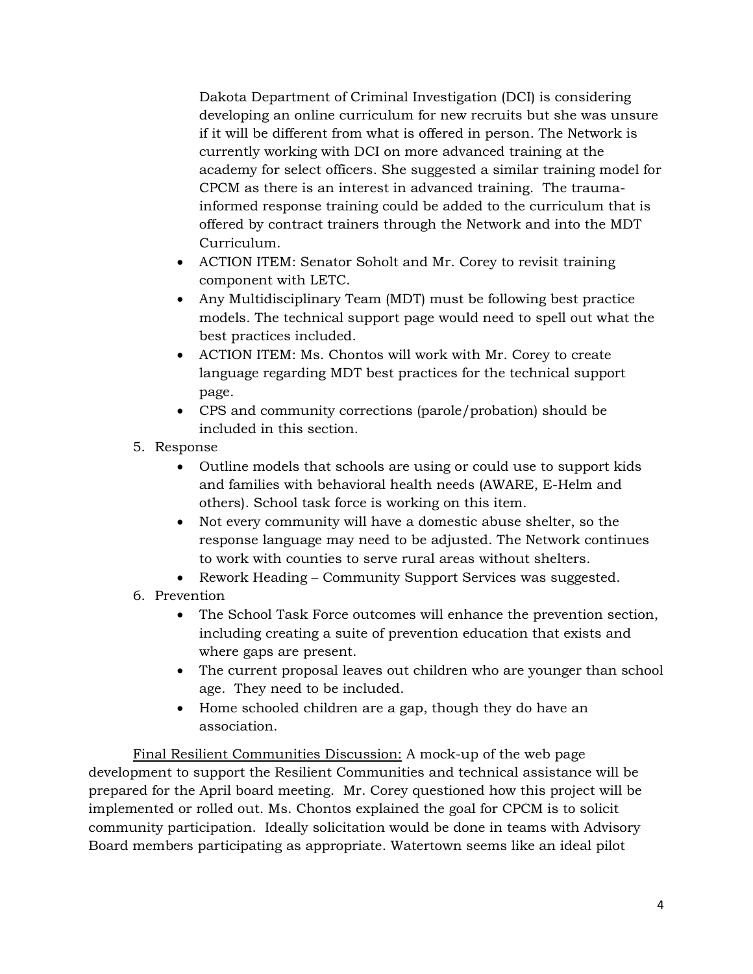Dakota Department of Criminal Investigation (DCI) is considering developing an online curriculum for new recruits but she was unsure if it will be different from what is offered in person. The Network is currently working with DCI on more advanced training at the academy for select officers. She suggested a similar training model for CPCM as there is an interest in advanced training. The traumainformed response training could be added to the curriculum that is offered by contract trainers through the Network and into the MDT Curriculum.

- ACTION ITEM: Senator Soholt and Mr. Corey to revisit training component with LETC.
- Any Multidisciplinary Team (MDT) must be following best practice models. The technical support page would need to spell out what the best practices included.
- ACTION ITEM: Ms. Chontos will work with Mr. Corey to create language regarding MDT best practices for the technical support page.
- CPS and community corrections (parole/probation) should be included in this section.
- 5. Response
	- Outline models that schools are using or could use to support kids and families with behavioral health needs (AWARE, E-Helm and others). School task force is working on this item.
	- Not every community will have a domestic abuse shelter, so the response language may need to be adjusted. The Network continues to work with counties to serve rural areas without shelters.
	- Rework Heading Community Support Services was suggested.
- 6. Prevention
	- The School Task Force outcomes will enhance the prevention section, including creating a suite of prevention education that exists and where gaps are present.
	- The current proposal leaves out children who are younger than school age. They need to be included.
	- Home schooled children are a gap, though they do have an association.

Final Resilient Communities Discussion: A mock-up of the web page development to support the Resilient Communities and technical assistance will be prepared for the April board meeting. Mr. Corey questioned how this project will be implemented or rolled out. Ms. Chontos explained the goal for CPCM is to solicit community participation. Ideally solicitation would be done in teams with Advisory Board members participating as appropriate. Watertown seems like an ideal pilot